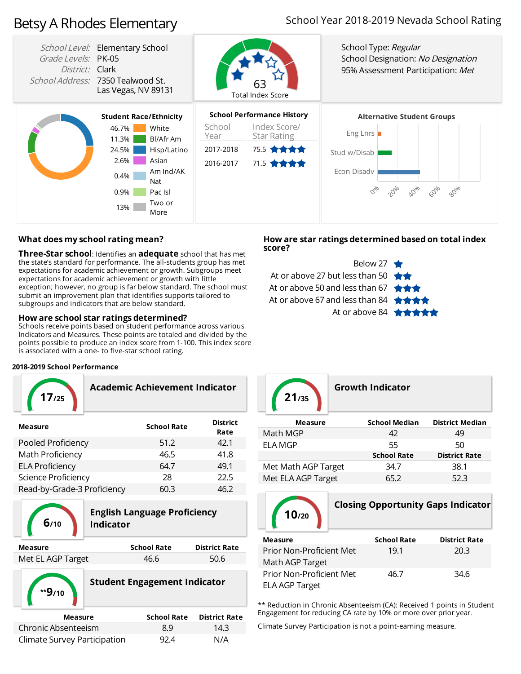# Betsy A Rhodes Elementary

# School Year 2018-2019 Nevada School Rating



#### **What doesmy school rating mean?**

**Three-Star school:** Identifies an **adequate** school that has met the state's standard for performance. The all-studentsgroup has met expectations for academic achievement orgrowth. Subgroups meet expectations for academic achievement or growth with little exception; however, no group is far below standard. The school must submit an improvement plan that identifies supports tailored to subgroups and indicators that are below standard.

#### **Howare schoolstar ratings determined?**

Schools receive points based on student performance across various Indicators and Measures. These points are totaled and divided by the points possible to produce an index score from 1-100. This index score is associated with a one- to five-star school rating.

#### **2018-2019 School Performance**

| 17/25   | Academic Achievement Indicator |                 |
|---------|--------------------------------|-----------------|
| Mascura | <b>Cehool Data</b>             | <b>District</b> |

| <b>Measure</b>              | <b>School Rate</b> | DISLIICL<br>Rate |
|-----------------------------|--------------------|------------------|
| Pooled Proficiency          | 51.2               | 42.1             |
| Math Proficiency            | 46.5               | 41.8             |
| <b>ELA Proficiency</b>      | 64.7               | 49.1             |
| Science Proficiency         | 28                 | 22.5             |
| Read-by-Grade-3 Proficiency | 60.3               | 46.2             |
|                             |                    |                  |



# **English Language Proficiency 6/10 Indicator**

| Measure           | <b>School Rate</b> | <b>District Rate</b> |
|-------------------|--------------------|----------------------|
| Met EL AGP Target | 46.6               | 50.6                 |



### **Howare star ratings determined based on total index score?**





### **Growth Indicator**

| <b>Measure</b>      | <b>School Median</b> | <b>District Median</b> |
|---------------------|----------------------|------------------------|
| Math MGP            | 42                   | 49                     |
| <b>ELA MGP</b>      | 55                   | 50                     |
|                     | <b>School Rate</b>   | <b>District Rate</b>   |
| Met Math AGP Target | 34.7                 | 38.1                   |
| Met ELA AGP Target  | 65.2                 | 52.3                   |



# **Closing Opportunity Gaps Indicator**

| <b>Measure</b>           | <b>School Rate</b> | <b>District Rate</b> |
|--------------------------|--------------------|----------------------|
| Prior Non-Proficient Met | 19.1               | 20.3                 |
| Math AGP Target          |                    |                      |
| Prior Non-Proficient Met | 46.7               | 34.6                 |
| ELA AGP Target           |                    |                      |

\*\* Reduction in Chronic Absenteeism (CA): Received 1 points in Student Engagement for reducing CA rate by 10% or more over prior year.

Climate Survey Participation is not a point-earning measure.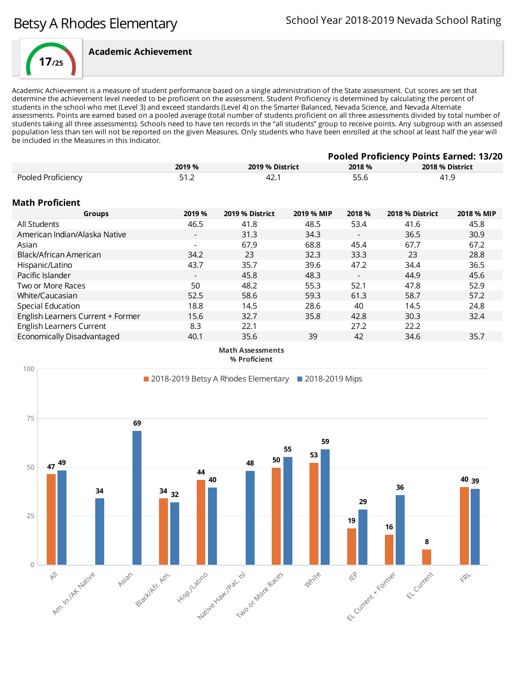

Academic Achievement is a measure of student performance based on a single administration of the State assessment. Cut scores are set that determine the achievement level needed to be proficient on the assessment. Student Proficiency is determined by calculating the percent of students in the school who met (Level 3) and exceed standards (Level 4) on the Smarter Balanced, Nevada Science, and Nevada Alternate assessments. Points are earned based on a pooled average (total number of students proficient on all three assessments divided by total number of students taking all three assessments). Schools need to have ten records in the "all students" group to receive points. Any subgroup with an assessed population less than ten will not be reported on the given Measures. Only students who have been enrolled at the school at least half the year will be included in the Measures in this Indicator.

| <b>Pooled Proficiency Points Earned: 13/20</b> |        |                 |            |                          |                 |                 |  |
|------------------------------------------------|--------|-----------------|------------|--------------------------|-----------------|-----------------|--|
|                                                | 2019 % | 2019 % District |            | 2018 %                   |                 | 2018 % District |  |
| Pooled Proficiency                             | 51.2   | 42.1            |            | 55.6                     | 41.9            |                 |  |
| <b>Math Proficient</b>                         |        |                 |            |                          |                 |                 |  |
| <b>Groups</b>                                  | 2019 % | 2019 % District | 2019 % MIP | 2018 %                   | 2018 % District | 2018 % MIP      |  |
| All Students                                   | 46.5   | 41.8            | 48.5       | 53.4                     | 41.6            | 45.8            |  |
| American Indian/Alaska Native                  |        | 31.3            | 34.3       | $\overline{\phantom{a}}$ | 36.5            | 30.9            |  |
| Asian                                          |        | 67.9            | 68.8       | 45.4                     | 67.7            | 67.2            |  |
| Black/African American                         | 34.2   | 23              | 32.3       | 33.3                     | 23              | 28.8            |  |
| Hispanic/Latino                                | 43.7   | 35.7            | 39.6       | 47.2                     | 34.4            | 36.5            |  |
| Pacific Islander                               |        | 45.8            | 48.3       |                          | 44.9            | 45.6            |  |
| Two or More Races                              | 50     | 48.2            | 55.3       | 52.1                     | 47.8            | 52.9            |  |
| White/Caucasian                                | 52.5   | 58.6            | 59.3       | 61.3                     | 58.7            | 57.2            |  |
| Special Education                              | 18.8   | 14.5            | 28.6       | 40                       | 14.5            | 24.8            |  |
| English Learners Current + Former              | 15.6   | 32.7            | 35.8       | 42.8                     | 30.3            | 32.4            |  |
| <b>English Learners Current</b>                | 8.3    | 22.1            |            | 27.2                     | 22.2            |                 |  |
| Economically Disadvantaged                     | 40.1   | 35.6            | 39         | 42                       | 34.6            | 35.7            |  |

**Math Assessments % Proficient**

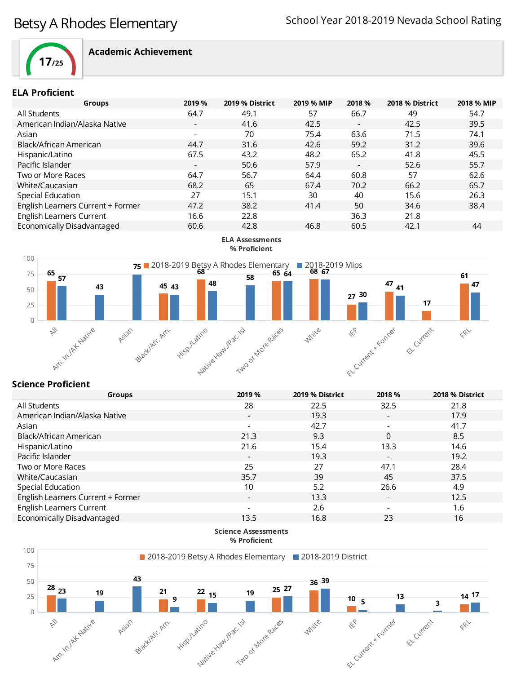

#### **ELA Proficient**

| 2019 %                   | 2019 % District | 2019 % MIP | 2018 %                   | 2018 % District | 2018 % MIP |
|--------------------------|-----------------|------------|--------------------------|-----------------|------------|
| 64.7                     | 49.1            | 57         | 66.7                     | 49              | 54.7       |
| $\overline{\phantom{0}}$ | 41.6            | 42.5       | $\overline{\phantom{a}}$ | 42.5            | 39.5       |
| $\overline{\phantom{0}}$ | 70              | 75.4       | 63.6                     | 71.5            | 74.1       |
| 44.7                     | 31.6            | 42.6       | 59.2                     | 31.2            | 39.6       |
| 67.5                     | 43.2            | 48.2       | 65.2                     | 41.8            | 45.5       |
| $\overline{\phantom{a}}$ | 50.6            | 57.9       | $\overline{\phantom{a}}$ | 52.6            | 55.7       |
| 64.7                     | 56.7            | 64.4       | 60.8                     | 57              | 62.6       |
| 68.2                     | 65              | 67.4       | 70.2                     | 66.2            | 65.7       |
| 27                       | 15.1            | 30         | 40                       | 15.6            | 26.3       |
| 47.2                     | 38.2            | 41.4       | 50                       | 34.6            | 38.4       |
| 16.6                     | 22.8            |            | 36.3                     | 21.8            |            |
| 60.6                     | 42.8            | 46.8       | 60.5                     | 42.1            | 44         |
|                          |                 |            |                          |                 |            |



### **Science Proficient**

| <b>Groups</b>                     | 2019 %                   | 2019 % District | 2018 %                   | 2018 % District |
|-----------------------------------|--------------------------|-----------------|--------------------------|-----------------|
| All Students                      | 28                       | 22.5            | 32.5                     | 21.8            |
| American Indian/Alaska Native     | $\overline{\phantom{a}}$ | 19.3            | $\overline{\phantom{a}}$ | 17.9            |
| Asian                             |                          | 42.7            | $\blacksquare$           | 41.7            |
| Black/African American            | 21.3                     | 9.3             | 0                        | 8.5             |
| Hispanic/Latino                   | 21.6                     | 15.4            | 13.3                     | 14.6            |
| Pacific Islander                  | $\overline{\phantom{a}}$ | 19.3            | $\overline{\phantom{a}}$ | 19.2            |
| Two or More Races                 | 25                       | 27              | 47.1                     | 28.4            |
| White/Caucasian                   | 35.7                     | 39              | 45                       | 37.5            |
| Special Education                 | 10                       | 5.2             | 26.6                     | 4.9             |
| English Learners Current + Former |                          | 13.3            | $\overline{\phantom{a}}$ | 12.5            |
| English Learners Current          |                          | 2.6             | $\qquad \qquad -$        | 1.6             |
| Economically Disadvantaged        | 13.5                     | 16.8            | 23                       | 16              |
|                                   |                          |                 |                          |                 |

**Science Assessments % Proficient**

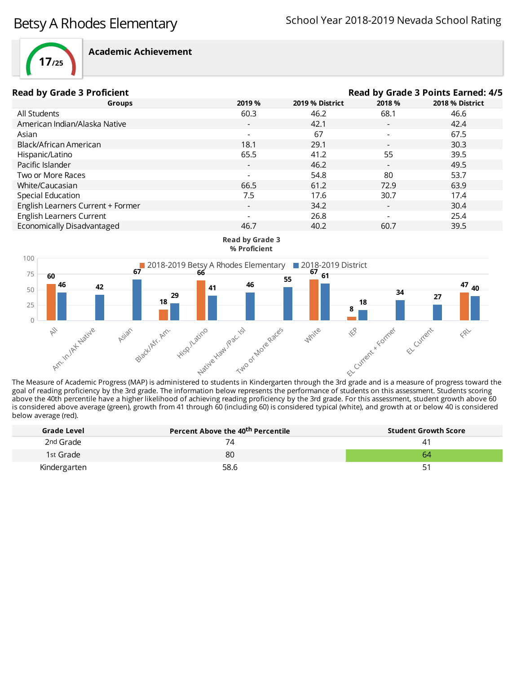

| <b>Read by Grade 3 Proficient</b> |                          |                 | Read by Grade 3 Points Earned: 4/5 |                 |
|-----------------------------------|--------------------------|-----------------|------------------------------------|-----------------|
| Groups                            | 2019 %                   | 2019 % District | 2018 %                             | 2018 % District |
| All Students                      | 60.3                     | 46.2            | 68.1                               | 46.6            |
| American Indian/Alaska Native     | $\overline{\phantom{0}}$ | 42.1            | $\overline{\phantom{a}}$           | 42.4            |
| Asian                             |                          | 67              |                                    | 67.5            |
| Black/African American            | 18.1                     | 29.1            | $\overline{\phantom{a}}$           | 30.3            |
| Hispanic/Latino                   | 65.5                     | 41.2            | 55                                 | 39.5            |
| Pacific Islander                  | $\overline{\phantom{a}}$ | 46.2            | $\overline{\phantom{a}}$           | 49.5            |
| Two or More Races                 |                          | 54.8            | -80                                | 53.7            |
| White/Caucasian                   | 66.5                     | 61.2            | 72.9                               | 63.9            |
| Special Education                 | 7.5                      | 17.6            | 30.7                               | 17.4            |
| English Learners Current + Former | $\overline{\phantom{a}}$ | 34.2            | $\overline{\phantom{a}}$           | 30.4            |
| <b>English Learners Current</b>   |                          | 26.8            | $\overline{\phantom{a}}$           | 25.4            |
| Economically Disadvantaged        | 46.7                     | 40.2            | 60.7                               | 39.5            |



**Read by Grade 3**

The Measure of Academic Progress (MAP) is administered to students in Kindergarten through the 3rd grade and is a measure of progress toward the goal of reading proficiency by the 3rd grade. The information below represents the performance of students on this assessment. Students scoring above the 40th percentile have a higher likelihood of achieving reading proficiency by the 3rd grade. For this assessment, student growth above 60 is considered above average (green), growth from 41 through 60 (including 60) is considered typical (white), and growth at or below 40 is considered below average (red).

| Grade Level  | Percent Above the 40 <sup>th</sup> Percentile | <b>Student Growth Score</b> |
|--------------|-----------------------------------------------|-----------------------------|
| 2nd Grade    | 74                                            | 41                          |
| 1st Grade    | 80                                            | 64                          |
| Kindergarten | 58.6                                          | 51                          |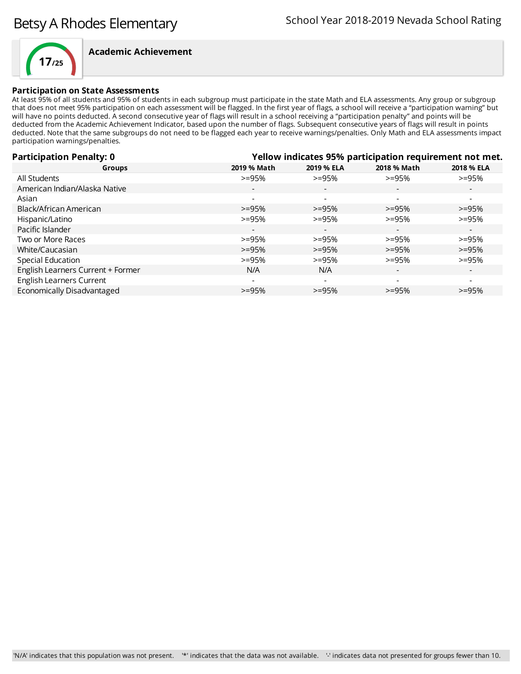

#### **Participation on State Assessments**

At least 95% of all students and 95% of students in each subgroup must participate in the state Math and ELA assessments. Any group or subgroup that does not meet 95% participation on each assessment will be flagged. In the first year of flags, a school will receive a "participation warning" but will have no points deducted. A second consecutive year of flags will result in a school receiving a "participation penalty" and points will be deducted from the Academic Achievement Indicator, based upon the number of flags. Subsequent consecutive years of flags will result in points deducted. Note that the same subgroups do not need to be flagged each year to receive warnings/penalties. Only Math and ELA assessments impact participation warnings/penalties.

| <b>Participation Penalty: 0</b>   | Yellow indicates 95% participation requirement not met. |                          |                          |                          |
|-----------------------------------|---------------------------------------------------------|--------------------------|--------------------------|--------------------------|
| <b>Groups</b>                     | 2019 % Math                                             | 2019 % ELA               | 2018 % Math              | 2018 % ELA               |
| All Students                      | $>=95%$                                                 | $>=95%$                  | $>=95%$                  | $>=95%$                  |
| American Indian/Alaska Native     | $\overline{\phantom{a}}$                                | $\overline{\phantom{a}}$ |                          | $\overline{\phantom{a}}$ |
| Asian                             | $\overline{\phantom{a}}$                                | $\overline{\phantom{a}}$ |                          | $\overline{\phantom{0}}$ |
| Black/African American            | $>=95%$                                                 | $>=95%$                  | $>=95%$                  | $>=95%$                  |
| Hispanic/Latino                   | $>=95%$                                                 | $>=95%$                  | $>=95%$                  | $>=95%$                  |
| Pacific Islander                  | $\overline{\phantom{a}}$                                | $\overline{\phantom{a}}$ | $\overline{\phantom{0}}$ | $\overline{\phantom{0}}$ |
| Two or More Races                 | $>=95%$                                                 | $>=95%$                  | $>=95%$                  | $>= 95%$                 |
| White/Caucasian                   | $>=95%$                                                 | $>=95%$                  | $>=95%$                  | $>=95%$                  |
| Special Education                 | $>=95%$                                                 | $>=95%$                  | $>=95%$                  | $>=95%$                  |
| English Learners Current + Former | N/A                                                     | N/A                      | $\overline{\phantom{a}}$ | $\overline{\phantom{a}}$ |
| <b>English Learners Current</b>   | $\overline{\phantom{a}}$                                | $\overline{\phantom{a}}$ |                          |                          |
| Economically Disadvantaged        | $>=95%$                                                 | $>=95%$                  | $>=95%$                  | $>=95%$                  |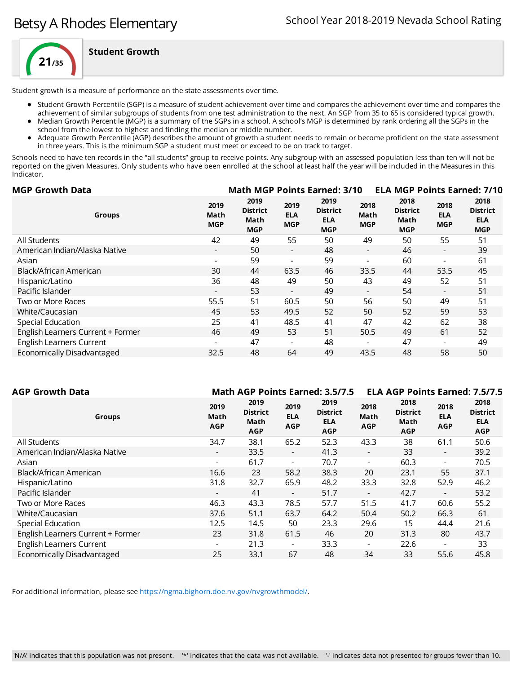

**Student Growth**

Student growth is a measure of performance on the state assessments over time.

- Student Growth Percentile (SGP) is a measure of student achievement over time and compares the achievement over time and compares the
- achievement of similar subgroups of students from one test administration to the next. An SGP from 35 to 65 is considered typical growth. Median Growth Percentile (MGP) is a summary of the SGPs in a school. A school's MGP is determined by rank ordering all the SGPs in the
- school from the lowest to highest and finding the median or middle number.
- Adequate Growth Percentile (AGP) describes the amount of growth a student needs to remain or become proficient on the state assessment in three years. This is the minimum SGP a student must meet or exceed to be on track to target.

Schools need to have ten records in the "all students" group to receive points. Any subgroup with an assessed population less than ten will not be reported on the given Measures. Only students who have been enrolled at the school at least half the year will be included in the Measures in this Indicator.

| <b>MGP Growth Data</b>                                    |                                               |                                  | <b>Math MGP Points Earned: 3/10</b>                 |                            |                                               |                                  | <b>ELA MGP Points Earned: 7/10</b>                  |
|-----------------------------------------------------------|-----------------------------------------------|----------------------------------|-----------------------------------------------------|----------------------------|-----------------------------------------------|----------------------------------|-----------------------------------------------------|
| 2019<br>Math<br>Groups<br><b>MGP</b>                      | 2019<br><b>District</b><br>Math<br><b>MGP</b> | 2019<br><b>ELA</b><br><b>MGP</b> | 2019<br><b>District</b><br><b>ELA</b><br><b>MGP</b> | 2018<br>Math<br><b>MGP</b> | 2018<br><b>District</b><br>Math<br><b>MGP</b> | 2018<br><b>ELA</b><br><b>MGP</b> | 2018<br><b>District</b><br><b>ELA</b><br><b>MGP</b> |
| 42<br>All Students                                        | 49                                            | 55                               | 50                                                  | 49                         | 50                                            | 55                               | 51                                                  |
| American Indian/Alaska Native<br>$\overline{\phantom{a}}$ | 50                                            | $\overline{\phantom{a}}$         | 48                                                  | $\overline{\phantom{0}}$   | 46                                            | $\overline{\phantom{a}}$         | 39                                                  |
| Asian                                                     | 59                                            | $\overline{\phantom{a}}$         | 59                                                  |                            | 60                                            | $\overline{\phantom{a}}$         | 61                                                  |
| Black/African American<br>30                              | 44                                            | 63.5                             | 46                                                  | 33.5                       | 44                                            | 53.5                             | 45                                                  |
| 36<br>Hispanic/Latino                                     | 48                                            | 49                               | 50                                                  | 43                         | 49                                            | 52                               | 51                                                  |
| Pacific Islander<br>$\overline{\phantom{a}}$              | 53                                            | $\overline{\phantom{a}}$         | 49                                                  | $\overline{\phantom{0}}$   | 54                                            | $\sim$                           | 51                                                  |
| Two or More Races<br>55.5                                 | 51                                            | 60.5                             | 50                                                  | 56                         | 50                                            | 49                               | 51                                                  |
| 45<br>White/Caucasian                                     | 53                                            | 49.5                             | 52                                                  | 50                         | 52                                            | 59                               | 53                                                  |
| Special Education<br>25                                   | 41                                            | 48.5                             | 41                                                  | 47                         | 42                                            | 62                               | 38                                                  |
| English Learners Current + Former<br>46                   | 49                                            | 53                               | 51                                                  | 50.5                       | 49                                            | 61                               | 52                                                  |
| <b>English Learners Current</b><br>-                      | 47                                            | $\overline{\phantom{a}}$         | 48                                                  |                            | 47                                            |                                  | 49                                                  |
| Economically Disadvantaged<br>32.5                        | 48                                            | 64                               | 49                                                  | 43.5                       | 48                                            | 58                               | 50                                                  |

| AGP Growth Data                   |                            |                                               |                                  | <b>Math AGP Points Earned: 3.5/7.5</b>              |                            | <b>ELA AGP Points Earned: 7.5/7.5</b>         |                                  |                                                     |
|-----------------------------------|----------------------------|-----------------------------------------------|----------------------------------|-----------------------------------------------------|----------------------------|-----------------------------------------------|----------------------------------|-----------------------------------------------------|
| <b>Groups</b>                     | 2019<br>Math<br><b>AGP</b> | 2019<br><b>District</b><br>Math<br><b>AGP</b> | 2019<br><b>ELA</b><br><b>AGP</b> | 2019<br><b>District</b><br><b>ELA</b><br><b>AGP</b> | 2018<br>Math<br><b>AGP</b> | 2018<br><b>District</b><br>Math<br><b>AGP</b> | 2018<br><b>ELA</b><br><b>AGP</b> | 2018<br><b>District</b><br><b>ELA</b><br><b>AGP</b> |
| All Students                      | 34.7                       | 38.1                                          | 65.2                             | 52.3                                                | 43.3                       | 38                                            | 61.1                             | 50.6                                                |
| American Indian/Alaska Native     | $\overline{\phantom{a}}$   | 33.5                                          | $\overline{\phantom{a}}$         | 41.3                                                | $\overline{\phantom{a}}$   | 33                                            | $\overline{\phantom{a}}$         | 39.2                                                |
| Asian                             | $\blacksquare$             | 61.7                                          | $\overline{\phantom{a}}$         | 70.7                                                | $\overline{\phantom{0}}$   | 60.3                                          | $\overline{\phantom{0}}$         | 70.5                                                |
| Black/African American            | 16.6                       | 23                                            | 58.2                             | 38.3                                                | 20                         | 23.1                                          | 55                               | 37.1                                                |
| Hispanic/Latino                   | 31.8                       | 32.7                                          | 65.9                             | 48.2                                                | 33.3                       | 32.8                                          | 52.9                             | 46.2                                                |
| Pacific Islander                  | $\overline{\phantom{a}}$   | 41                                            | $\overline{\phantom{a}}$         | 51.7                                                | $\overline{\phantom{a}}$   | 42.7                                          | $\overline{\phantom{a}}$         | 53.2                                                |
| Two or More Races                 | 46.3                       | 43.3                                          | 78.5                             | 57.7                                                | 51.5                       | 41.7                                          | 60.6                             | 55.2                                                |
| White/Caucasian                   | 37.6                       | 51.1                                          | 63.7                             | 64.2                                                | 50.4                       | 50.2                                          | 66.3                             | 61                                                  |
| Special Education                 | 12.5                       | 14.5                                          | 50                               | 23.3                                                | 29.6                       | 15                                            | 44.4                             | 21.6                                                |
| English Learners Current + Former | 23                         | 31.8                                          | 61.5                             | 46                                                  | 20                         | 31.3                                          | 80                               | 43.7                                                |
| <b>English Learners Current</b>   | $\overline{\phantom{a}}$   | 21.3                                          | $\overline{\phantom{a}}$         | 33.3                                                | $\overline{\phantom{a}}$   | 22.6                                          |                                  | 33                                                  |
| Economically Disadvantaged        | 25                         | 33.1                                          | 67                               | 48                                                  | 34                         | 33                                            | 55.6                             | 45.8                                                |
|                                   |                            |                                               |                                  |                                                     |                            |                                               |                                  |                                                     |

For additional information, please see [https://ngma.bighorn.doe.nv.gov/nvgrowthmodel/.](https://ngma.bighorn.doe.nv.gov/nvgrowthmodel/)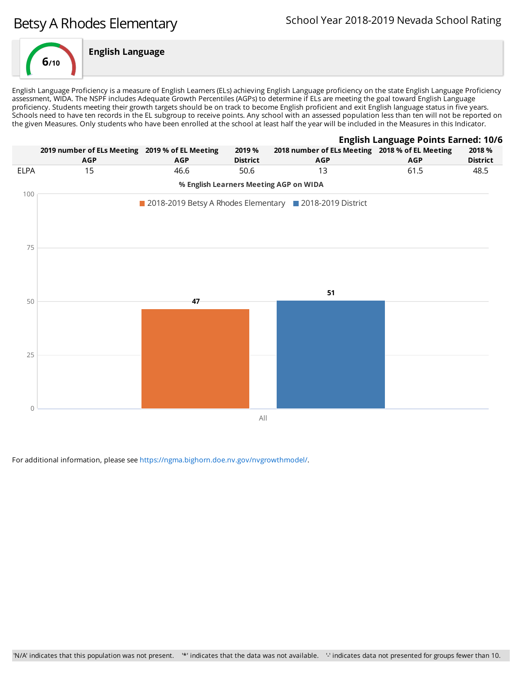# Betsy A Rhodes Elementary



English Language Proficiency is a measure of English Learners (ELs) achieving English Language proficiency on the state English Language Proficiency assessment, WIDA. The NSPF includes Adequate Growth Percentiles (AGPs) to determine if ELs are meeting the goal toward English Language proficiency. Students meeting their growth targets should be on track to become English proficient and exit English language status in five years. Schools need to have ten records in the EL subgroup to receive points. Any school with an assessed population less than ten will not be reported on the given Measures. Only students who have been enrolled at the school at least half the year will be included in the Measures in this Indicator.



For additional information, please see [https://ngma.bighorn.doe.nv.gov/nvgrowthmodel/.](https://ngma.bighorn.doe.nv.gov/nvgrowthmodel/)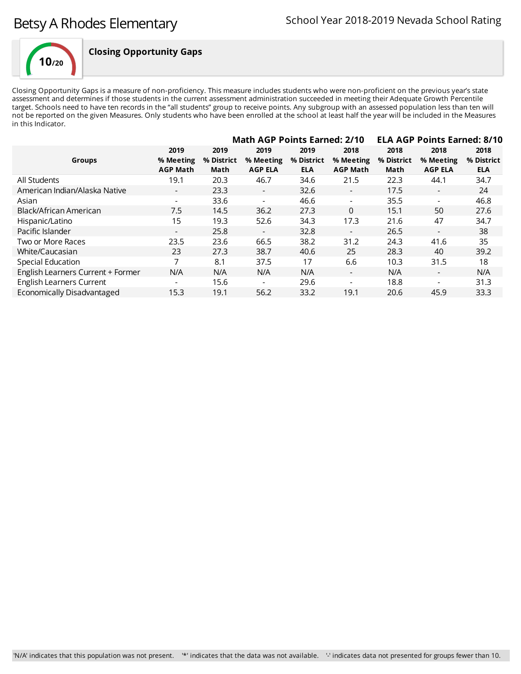

## **Closing Opportunity Gaps**

Closing Opportunity Gaps is a measure of non-proficiency. This measure includes students who were non-proficient on the previous year's state assessment and determines if those students in the current assessment administration succeeded in meeting their Adequate Growth Percentile target. Schools need to have ten records in the "all students" group to receive points. Any subgroup with an assessed population less than ten will not be reported on the given Measures. Only students who have been enrolled at the school at least half the year will be included in the Measures in this Indicator.

|                                   |                                      | <b>Math AGP Points Earned: 2/10</b> |                                     |                                  | <b>ELA AGP Points Earned: 8/10</b>   |                            |                                     |                                  |
|-----------------------------------|--------------------------------------|-------------------------------------|-------------------------------------|----------------------------------|--------------------------------------|----------------------------|-------------------------------------|----------------------------------|
| <b>Groups</b>                     | 2019<br>% Meeting<br><b>AGP Math</b> | 2019<br>% District<br>Math          | 2019<br>% Meeting<br><b>AGP ELA</b> | 2019<br>% District<br><b>ELA</b> | 2018<br>% Meeting<br><b>AGP Math</b> | 2018<br>% District<br>Math | 2018<br>% Meeting<br><b>AGP ELA</b> | 2018<br>% District<br><b>ELA</b> |
| All Students                      | 19.1                                 | 20.3                                | 46.7                                | 34.6                             | 21.5                                 | 22.3                       | 44.1                                | 34.7                             |
| American Indian/Alaska Native     | $\overline{\phantom{a}}$             | 23.3                                | $\overline{\phantom{a}}$            | 32.6                             | $\overline{\phantom{a}}$             | 17.5                       | $\overline{\phantom{0}}$            | 24                               |
| Asian                             | $\overline{\phantom{a}}$             | 33.6                                | $\overline{\phantom{a}}$            | 46.6                             | $\overline{\phantom{a}}$             | 35.5                       | $\overline{\phantom{0}}$            | 46.8                             |
| Black/African American            | 7.5                                  | 14.5                                | 36.2                                | 27.3                             | $\Omega$                             | 15.1                       | 50                                  | 27.6                             |
| Hispanic/Latino                   | 15                                   | 19.3                                | 52.6                                | 34.3                             | 17.3                                 | 21.6                       | 47                                  | 34.7                             |
| Pacific Islander                  | $\overline{\phantom{0}}$             | 25.8                                | $\overline{\phantom{a}}$            | 32.8                             | $\overline{\phantom{a}}$             | 26.5                       | $\overline{\phantom{a}}$            | 38                               |
| Two or More Races                 | 23.5                                 | 23.6                                | 66.5                                | 38.2                             | 31.2                                 | 24.3                       | 41.6                                | 35                               |
| White/Caucasian                   | 23                                   | 27.3                                | 38.7                                | 40.6                             | 25                                   | 28.3                       | 40                                  | 39.2                             |
| Special Education                 | 7                                    | 8.1                                 | 37.5                                | 17                               | 6.6                                  | 10.3                       | 31.5                                | 18                               |
| English Learners Current + Former | N/A                                  | N/A                                 | N/A                                 | N/A                              | $\overline{\phantom{a}}$             | N/A                        |                                     | N/A                              |
| <b>English Learners Current</b>   |                                      | 15.6                                | $\overline{\phantom{a}}$            | 29.6                             | $\blacksquare$                       | 18.8                       |                                     | 31.3                             |
| Economically Disadvantaged        | 15.3                                 | 19.1                                | 56.2                                | 33.2                             | 19.1                                 | 20.6                       | 45.9                                | 33.3                             |